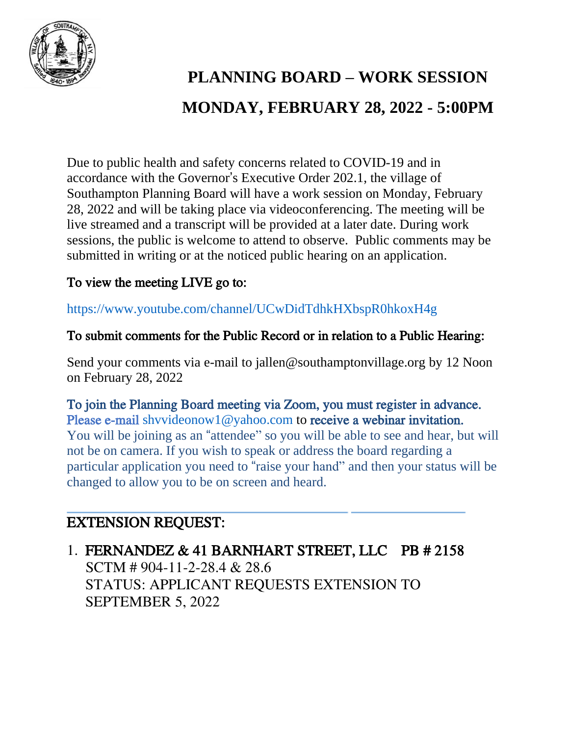

# **PLANNING BOARD – WORK SESSION MONDAY, FEBRUARY 28, 2022 - 5:00PM**

Due to public health and safety concerns related to COVID-19 and in accordance with the Governor's Executive Order 202.1, the village of Southampton Planning Board will have a work session on Monday, February 28, 2022 and will be taking place via videoconferencing. The meeting will be live streamed and a transcript will be provided at a later date. During work sessions, the public is welcome to attend to observe. Public comments may be submitted in writing or at the noticed public hearing on an application.

## To view the meeting LIVE go to:

https://www.youtube.com/channel/UCwDidTdhkHXbspR0hkoxH4g

#### To submit comments for the Public Record or in relation to a Public Hearing:

Send your comments via e-mail to jallen@southamptonvillage.org by 12 Noon on February 28, 2022

To join the Planning Board meeting via Zoom, you must register in advance. Please e-mail shyvideonow1@yahoo.com to receive a webinar invitation. You will be joining as an "attendee" so you will be able to see and hear, but will not be on camera. If you wish to speak or address the board regarding a particular application you need to "raise your hand" and then your status will be changed to allow you to be on screen and heard.

# EXTENSION REQUEST:

1. FERNANDEZ & 41 BARNHART STREET, LLC PB # 2158 SCTM # 904-11-2-28.4 & 28.6 STATUS: APPLICANT REQUESTS EXTENSION TO SEPTEMBER 5, 2022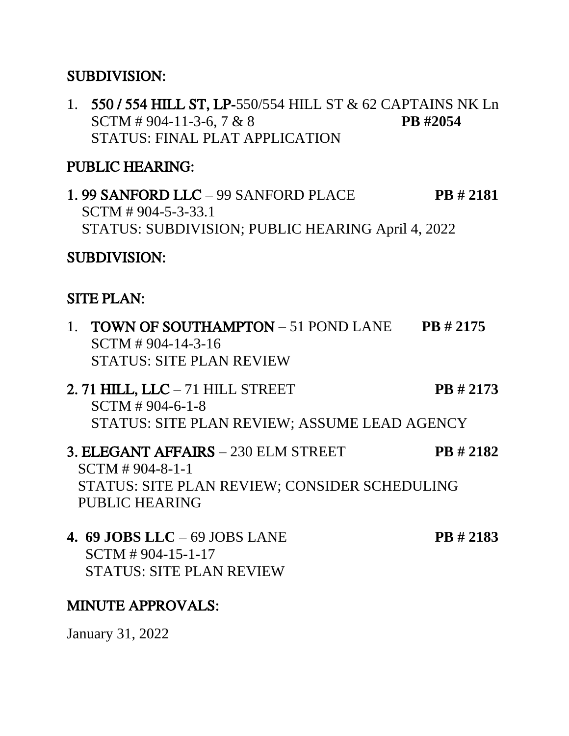### SUBDIVISION:

1. 550 / 554 HILL ST, LP-550/554 HILL ST & 62 CAPTAINS NK Ln SCTM # 904-11-3-6, 7 & 8 **PB #2054** STATUS: FINAL PLAT APPLICATION

## PUBLIC HEARING:

1. 99 SANFORD LLC – 99 SANFORD PLACE **PB # 2181** SCTM # 904-5-3-33.1 STATUS: SUBDIVISION; PUBLIC HEARING April 4, 2022

### SUBDIVISION:

#### SITE PLAN:

- 1. TOWN OF SOUTHAMPTON 51 POND LANE **PB # 2175** SCTM # 904-14-3-16 STATUS: SITE PLAN REVIEW
- 2. 71 HILL, LLC 71 HILL STREET **PB # 2173** SCTM # 904-6-1-8 STATUS: SITE PLAN REVIEW; ASSUME LEAD AGENCY
- 3. ELEGANT AFFAIRS 230 ELM STREET **PB # 2182** SCTM # 904-8-1-1 STATUS: SITE PLAN REVIEW; CONSIDER SCHEDULING PUBLIC HEARING
- **4. 69 JOBS LLC** 69 JOBS LANE **PB # 2183** SCTM # 904-15-1-17 STATUS: SITE PLAN REVIEW

### MINUTE APPROVALS:

January 31, 2022